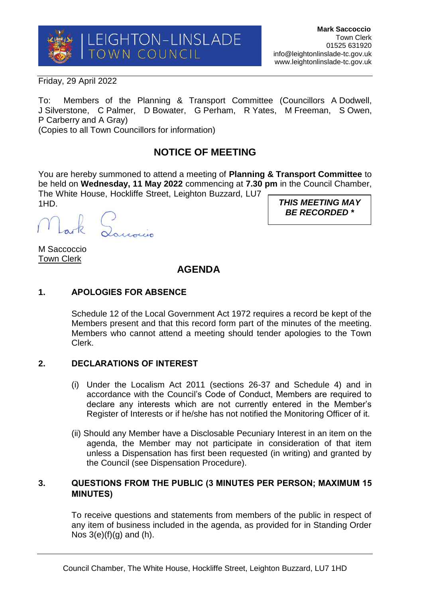

Friday, 29 April 2022

To: Members of the Planning & Transport Committee (Councillors A Dodwell, J Silverstone, C Palmer, D Bowater, G Perham, R Yates, M Freeman, S Owen, P Carberry and A Gray)

(Copies to all Town Councillors for information)

# **NOTICE OF MEETING**

You are hereby summoned to attend a meeting of **Planning & Transport Committee** to be held on **Wednesday, 11 May 2022** commencing at **7.30 pm** in the Council Chamber, The White House, Hockliffe Street, Leighton Buzzard, LU7 1HD.

k Louvin

M Saccoccio Town Clerk

## **AGENDA**

## **1. APOLOGIES FOR ABSENCE**

Schedule 12 of the Local Government Act 1972 requires a record be kept of the Members present and that this record form part of the minutes of the meeting. Members who cannot attend a meeting should tender apologies to the Town Clerk.

#### **2. DECLARATIONS OF INTEREST**

- (i) Under the Localism Act 2011 (sections 26-37 and Schedule 4) and in accordance with the Council's Code of Conduct, Members are required to declare any interests which are not currently entered in the Member's Register of Interests or if he/she has not notified the Monitoring Officer of it.
- (ii) Should any Member have a Disclosable Pecuniary Interest in an item on the agenda, the Member may not participate in consideration of that item unless a Dispensation has first been requested (in writing) and granted by the Council (see Dispensation Procedure).

#### **3. QUESTIONS FROM THE PUBLIC (3 MINUTES PER PERSON; MAXIMUM 15 MINUTES)**

To receive questions and statements from members of the public in respect of any item of business included in the agenda, as provided for in Standing Order Nos  $3(e)(f)(q)$  and  $(h)$ .

*THIS MEETING MAY BE RECORDED \**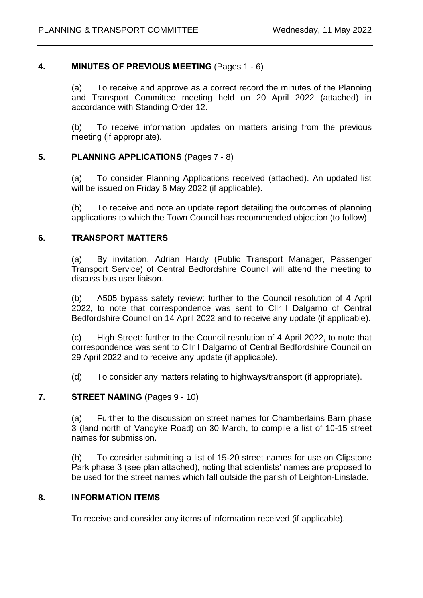## **4. MINUTES OF PREVIOUS MEETING** (Pages 1 - 6)

(a) To receive and approve as a correct record the minutes of the Planning and Transport Committee meeting held on 20 April 2022 (attached) in accordance with Standing Order 12.

(b) To receive information updates on matters arising from the previous meeting (if appropriate).

## **5. PLANNING APPLICATIONS** (Pages 7 - 8)

(a) To consider Planning Applications received (attached). An updated list will be issued on Friday 6 May 2022 (if applicable).

(b) To receive and note an update report detailing the outcomes of planning applications to which the Town Council has recommended objection (to follow).

#### **6. TRANSPORT MATTERS**

(a) By invitation, Adrian Hardy (Public Transport Manager, Passenger Transport Service) of Central Bedfordshire Council will attend the meeting to discuss bus user liaison.

(b) A505 bypass safety review: further to the Council resolution of 4 April 2022, to note that correspondence was sent to Cllr I Dalgarno of Central Bedfordshire Council on 14 April 2022 and to receive any update (if applicable).

(c) High Street: further to the Council resolution of 4 April 2022, to note that correspondence was sent to Cllr I Dalgarno of Central Bedfordshire Council on 29 April 2022 and to receive any update (if applicable).

(d) To consider any matters relating to highways/transport (if appropriate).

## **7. STREET NAMING** (Pages 9 - 10)

(a) Further to the discussion on street names for Chamberlains Barn phase 3 (land north of Vandyke Road) on 30 March, to compile a list of 10-15 street names for submission.

(b) To consider submitting a list of 15-20 street names for use on Clipstone Park phase 3 (see plan attached), noting that scientists' names are proposed to be used for the street names which fall outside the parish of Leighton-Linslade.

#### **8. INFORMATION ITEMS**

To receive and consider any items of information received (if applicable).